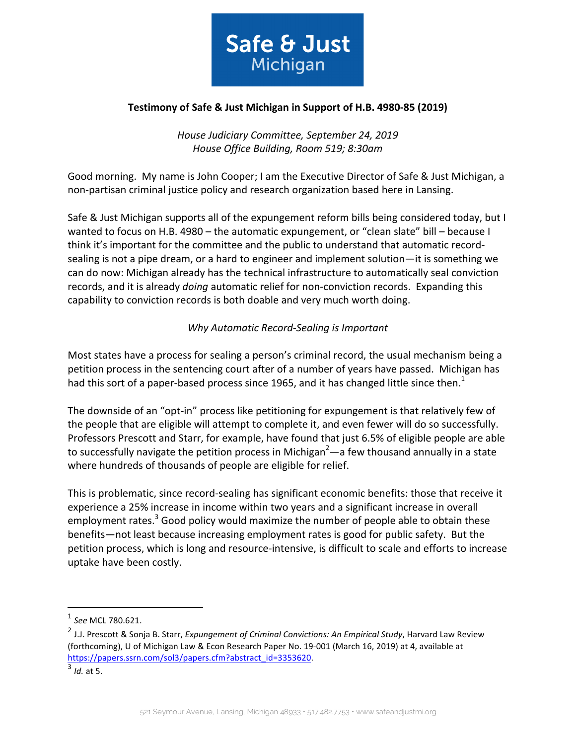

### **Testimony of Safe & Just Michigan in Support of H.B. 4980-85 (2019)**

*House Judiciary Committee, September 24, 2019 House Office Building, Room 519; 8:30am*

Good morning. My name is John Cooper; I am the Executive Director of Safe & Just Michigan, a non-partisan criminal justice policy and research organization based here in Lansing.

Safe & Just Michigan supports all of the expungement reform bills being considered today, but I wanted to focus on H.B. 4980 – the automatic expungement, or "clean slate" bill – because I think it's important for the committee and the public to understand that automatic recordsealing is not a pipe dream, or a hard to engineer and implement solution—it is something we can do now: Michigan already has the technical infrastructure to automatically seal conviction records, and it is already *doing* automatic relief for non-conviction records. Expanding this capability to conviction records is both doable and very much worth doing.

## *Why Automatic Record-Sealing is Important*

Most states have a process for sealing a person's criminal record, the usual mechanism being a petition process in the sentencing court after of a number of years have passed. Michigan has had this sort of a paper-based process since 1965, and it has changed little since then.<sup>1</sup>

The downside of an "opt-in" process like petitioning for expungement is that relatively few of the people that are eligible will attempt to complete it, and even fewer will do so successfully. Professors Prescott and Starr, for example, have found that just 6.5% of eligible people are able to successfully navigate the petition process in Michigan<sup>2</sup>—a few thousand annually in a state where hundreds of thousands of people are eligible for relief.

This is problematic, since record-sealing has significant economic benefits: those that receive it experience a 25% increase in income within two years and a significant increase in overall employment rates. $3$  Good policy would maximize the number of people able to obtain these benefits—not least because increasing employment rates is good for public safety. But the petition process, which is long and resource-intensive, is difficult to scale and efforts to increase uptake have been costly.

 

<sup>1</sup> *See* MCL 780.621.

<sup>&</sup>lt;sup>2</sup> J.J. Prescott & Sonja B. Starr, *Expungement of Criminal Convictions: An Empirical Study*, Harvard Law Review (forthcoming), U of Michigan Law & Econ Research Paper No. 19-001 (March 16, 2019) at 4, available at https://papers.ssrn.com/sol3/papers.cfm?abstract\_id=3353620.

 $<sup>3</sup>$  *Id.* at 5.</sup>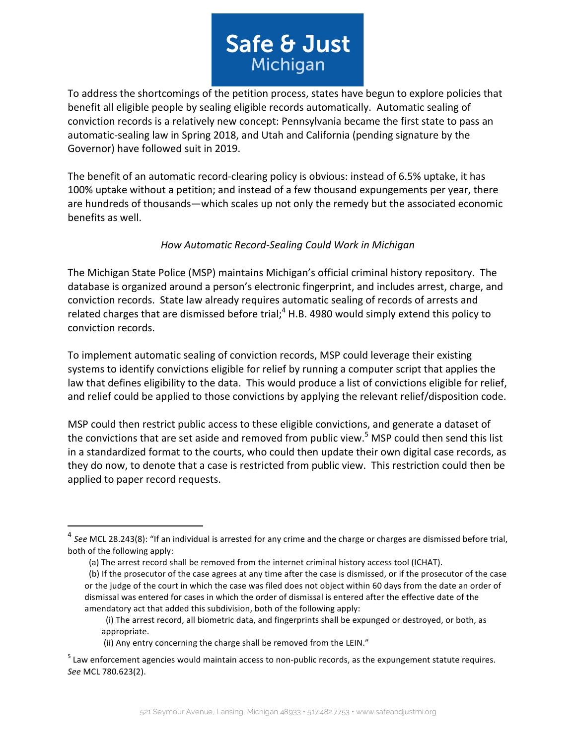# Safe & Just Michigan

To address the shortcomings of the petition process, states have begun to explore policies that benefit all eligible people by sealing eligible records automatically. Automatic sealing of conviction records is a relatively new concept: Pennsylvania became the first state to pass an automatic-sealing law in Spring 2018, and Utah and California (pending signature by the Governor) have followed suit in 2019.

The benefit of an automatic record-clearing policy is obvious: instead of 6.5% uptake, it has 100% uptake without a petition; and instead of a few thousand expungements per year, there are hundreds of thousands—which scales up not only the remedy but the associated economic benefits as well.

## *How Automatic Record-Sealing Could Work in Michigan*

The Michigan State Police (MSP) maintains Michigan's official criminal history repository. The database is organized around a person's electronic fingerprint, and includes arrest, charge, and conviction records. State law already requires automatic sealing of records of arrests and related charges that are dismissed before trial;<sup>4</sup> H.B. 4980 would simply extend this policy to conviction records.

To implement automatic sealing of conviction records, MSP could leverage their existing systems to identify convictions eligible for relief by running a computer script that applies the law that defines eligibility to the data. This would produce a list of convictions eligible for relief, and relief could be applied to those convictions by applying the relevant relief/disposition code.

MSP could then restrict public access to these eligible convictions, and generate a dataset of the convictions that are set aside and removed from public view.<sup>5</sup> MSP could then send this list in a standardized format to the courts, who could then update their own digital case records, as they do now, to denote that a case is restricted from public view. This restriction could then be applied to paper record requests.

 

<sup>&</sup>lt;sup>4</sup> See MCL 28.243(8): "If an individual is arrested for any crime and the charge or charges are dismissed before trial, both of the following apply:

<sup>(</sup>a) The arrest record shall be removed from the internet criminal history access tool (ICHAT).

<sup>(</sup>b) If the prosecutor of the case agrees at any time after the case is dismissed, or if the prosecutor of the case or the judge of the court in which the case was filed does not object within 60 days from the date an order of dismissal was entered for cases in which the order of dismissal is entered after the effective date of the amendatory act that added this subdivision, both of the following apply:

<sup>(</sup>i) The arrest record, all biometric data, and fingerprints shall be expunged or destroyed, or both, as appropriate.

<sup>(</sup>ii) Any entry concerning the charge shall be removed from the LEIN."

 $<sup>5</sup>$  Law enforcement agencies would maintain access to non-public records, as the expungement statute requires.</sup> *See* MCL 780.623(2).